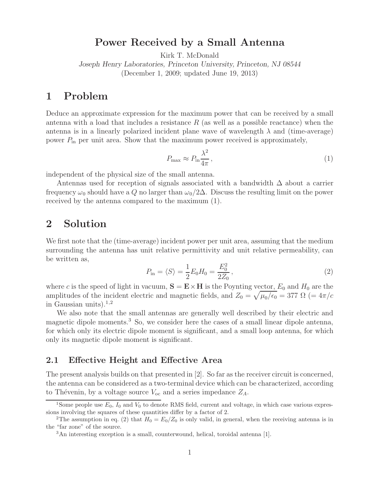# **Power Received by a Small Antenna**

Kirk T. McDonald

*Joseph Henry Laboratories, Princeton University, Princeton, NJ 08544* (December 1, 2009; updated June 19, 2013)

## **1 Problem**

Deduce an approximate expression for the maximum power that can be received by a small antenna with a load that includes a resistance  $R$  (as well as a possible reactance) when the antenna is in a linearly polarized incident plane wave of wavelength  $\lambda$  and (time-average) power  $P_{\text{in}}$  per unit area. Show that the maximum power received is approximately,

$$
P_{\max} \approx P_{\rm in} \frac{\lambda^2}{4\pi},\tag{1}
$$

independent of the physical size of the small antenna.

Antennas used for reception of signals associated with a bandwidth  $\Delta$  about a carrier frequency  $\omega_0$  should have a Q no larger than  $\omega_0/2\Delta$ . Discuss the resulting limit on the power received by the antenna compared to the maximum (1).

# **2 Solution**

We first note that the (time-average) incident power per unit area, assuming that the medium surrounding the antenna has unit relative permittivity and unit relative permeability, can be written as,

$$
P_{\rm in} = \langle S \rangle = \frac{1}{2} E_0 H_0 = \frac{E_0^2}{2Z_0}, \qquad (2)
$$

where c is the speed of light in vacuum,  $S = E \times H$  is the Poynting vector,  $E_0$  and  $H_0$  are the amplitudes of the incident electric and magnetic fields, and  $Z_0 = \sqrt{\mu_0/\epsilon_0} = 377 \Omega$  (=  $4\pi/c$ ) in Gaussian units). $1,2$ 

We also note that the small antennas are generally well described by their electric and magnetic dipole moments.<sup>3</sup> So, we consider here the cases of a small linear dipole antenna, for which only its electric dipole moment is significant, and a small loop antenna, for which only its magnetic dipole moment is significant.

### **2.1 Effective Height and Effective Area**

The present analysis builds on that presented in [2]. So far as the receiver circuit is concerned, the antenna can be considered as a two-terminal device which can be characterized, according to Thévenin, by a voltage source  $V_{\text{oc}}$  and a series impedance  $Z_A$ .

<sup>&</sup>lt;sup>1</sup>Some people use  $E_0$ ,  $I_0$  and  $V_0$  to denote RMS field, current and voltage, in which case various expressions involving the squares of these quantities differ by a factor of 2.

<sup>&</sup>lt;sup>2</sup>The assumption in eq. (2) that  $H_0 = E_0/Z_0$  is only valid, in general, when the receiving antenna is in the "far zone" of the source.

<sup>3</sup>An interesting exception is a small, counterwound, helical, toroidal antenna [1].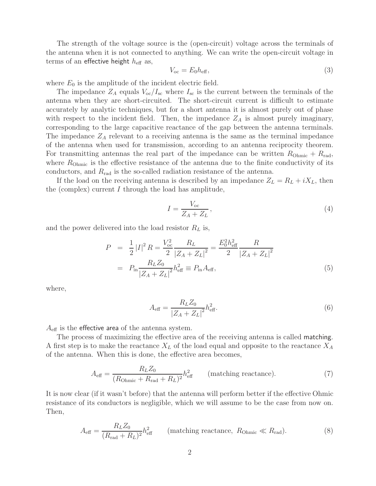The strength of the voltage source is the (open-circuit) voltage across the terminals of the antenna when it is not connected to anything. We can write the open-circuit voltage in terms of an effective height  $h_{\text{eff}}$  as,

$$
V_{\rm oc} = E_0 h_{\rm eff},\tag{3}
$$

where  $E_0$  is the amplitude of the incident electric field.

The impedance  $Z_A$  equals  $V_{\text{oc}}/I_{\text{sc}}$  where  $I_{\text{sc}}$  is the current between the terminals of the antenna when they are short-circuited. The short-circuit current is difficult to estimate accurately by analytic techniques, but for a short antenna it is almost purely out of phase with respect to the incident field. Then, the impedance  $Z_A$  is almost purely imaginary, corresponding to the large capacitive reactance of the gap between the antenna terminals. The impedance  $Z_A$  relevant to a receiving antenna is the same as the terminal impedance of the antenna when used for transmission, according to an antenna reciprocity theorem. For transmitting antennas the real part of the impedance can be written  $R_{Ohmic} + R_{rad}$ , where  $R_{\text{Ohmic}}$  is the effective resistance of the antenna due to the finite conductivity of its conductors, and  $R_{rad}$  is the so-called radiation resistance of the antenna.

If the load on the receiving antenna is described by an impedance  $Z_L = R_L + iX_L$ , then the (complex) current I through the load has amplitude,

$$
I = \frac{V_{\text{oc}}}{Z_A + Z_L},\tag{4}
$$

and the power delivered into the load resistor  $R_L$  is,

$$
P = \frac{1}{2} |I|^2 R = \frac{V_{oc}^2}{2} \frac{R_L}{|Z_A + Z_L|^2} = \frac{E_0^2 h_{\text{eff}}^2}{2} \frac{R}{|Z_A + Z_L|^2}
$$

$$
= P_{\text{in}} \frac{R_L Z_0}{|Z_A + Z_L|^2} h_{\text{eff}}^2 \equiv P_{\text{in}} A_{\text{eff}}, \tag{5}
$$

where,

$$
A_{\text{eff}} = \frac{R_L Z_0}{|Z_A + Z_L|^2} h_{\text{eff}}^2.
$$
 (6)

 $A_{\text{eff}}$  is the effective area of the antenna system.

The process of maximizing the effective area of the receiving antenna is called matching. A first step is to make the reactance  $X_L$  of the load equal and opposite to the reactance  $X_A$ of the antenna. When this is done, the effective area becomes,

$$
A_{\text{eff}} = \frac{R_L Z_0}{(R_{\text{Ohmic}} + R_{\text{rad}} + R_L)^2} h_{\text{eff}}^2 \qquad \text{(matching reactance)}.
$$
 (7)

It is now clear (if it wasn't before) that the antenna will perform better if the effective Ohmic resistance of its conductors is negligible, which we will assume to be the case from now on. Then,

$$
A_{\text{eff}} = \frac{R_L Z_0}{(R_{\text{rad}} + R_L)^2} h_{\text{eff}}^2 \qquad \text{(matching reactance, } R_{\text{Ohmic}} \ll R_{\text{rad}}). \tag{8}
$$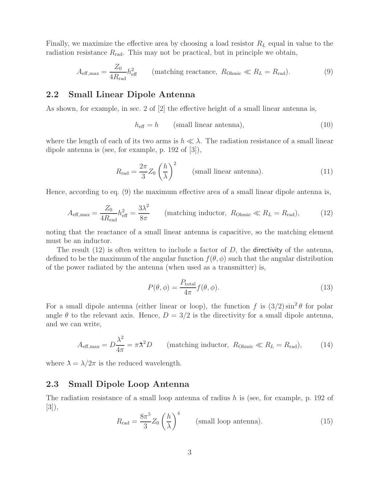Finally, we maximize the effective area by choosing a load resistor  $R_L$  equal in value to the radiation resistance  $R_{\text{rad}}$ . This may not be practical, but in principle we obtain,

$$
A_{\text{eff,max}} = \frac{Z_0}{4R_{\text{rad}}} h_{\text{eff}}^2 \qquad \text{(matching reactance, } R_{\text{Ohmic}} \ll R_L = R_{\text{rad}}). \tag{9}
$$

### **2.2 Small Linear Dipole Antenna**

As shown, for example, in sec. 2 of [2] the effective height of a small linear antenna is,

$$
h_{\text{eff}} = h \qquad \text{(small linear antenna)}, \tag{10}
$$

where the length of each of its two arms is  $h \ll \lambda$ . The radiation resistance of a small linear dipole antenna is (see, for example, p. 192 of [3]),

$$
R_{\rm rad} = \frac{2\pi}{3} Z_0 \left(\frac{h}{\lambda}\right)^2 \qquad \text{(small linear antenna)}.
$$
 (11)

Hence, according to eq. (9) the maximum effective area of a small linear dipole antenna is,

$$
A_{\text{eff,max}} = \frac{Z_0}{4R_{\text{rad}}} h_{\text{eff}}^2 = \frac{3\lambda^2}{8\pi} \qquad \text{(matching inductor, } R_{\text{Ohmic}} \ll R_L = R_{\text{rad}}),\tag{12}
$$

noting that the reactance of a small linear antenna is capacitive, so the matching element must be an inductor.

The result  $(12)$  is often written to include a factor of D, the directivity of the antenna, defined to be the maximum of the angular function  $f(\theta, \phi)$  such that the angular distribution of the power radiated by the antenna (when used as a transmitter) is,

$$
P(\theta, \phi) = \frac{P_{\text{total}}}{4\pi} f(\theta, \phi).
$$
 (13)

For a small dipole antenna (either linear or loop), the function f is  $(3/2) \sin^2 \theta$  for polar angle  $\theta$  to the relevant axis. Hence,  $D = 3/2$  is the directivity for a small dipole antenna, and we can write,

$$
A_{\text{eff,max}} = D\frac{\lambda^2}{4\pi} = \pi \lambda^2 D \qquad \text{(matching inductor, } R_{\text{Ohmic}} \ll R_L = R_{\text{rad}}), \tag{14}
$$

where  $\lambda = \lambda/2\pi$  is the reduced wavelength.

## **2.3 Small Dipole Loop Antenna**

The radiation resistance of a small loop antenna of radius  $h$  is (see, for example, p. 192 of [3]),

$$
R_{\rm rad} = \frac{8\pi^5}{3} Z_0 \left(\frac{h}{\lambda}\right)^4 \qquad \text{(small loop antenna)}.\tag{15}
$$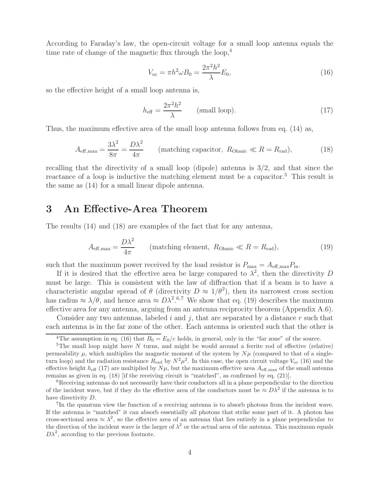According to Faraday's law, the open-circuit voltage for a small loop antenna equals the time rate of change of the magnetic flux through the loop,<sup>4</sup>

$$
V_{\text{oc}} = \pi h^2 \omega B_0 = \frac{2\pi^2 h^2}{\lambda} E_0,\tag{16}
$$

so the effective height of a small loop antenna is,

$$
h_{\text{eff}} = \frac{2\pi^2 h^2}{\lambda} \qquad \text{(small loop)}.
$$
 (17)

Thus, the maximum effective area of the small loop antenna follows from eq. (14) as,

$$
A_{\text{eff,max}} = \frac{3\lambda^2}{8\pi} = \frac{D\lambda^2}{4\pi} \qquad \text{(matching capacitor, } R_{\text{Ohmic}} \ll R = R_{\text{rad}}), \tag{18}
$$

recalling that the directivity of a small loop (dipole) antenna is  $3/2$ , and that since the reactance of a loop is inductive the matching element must be a capacitor.<sup>5</sup> This result is the same as (14) for a small linear dipole antenna.

# **3 An Effective-Area Theorem**

The results (14) and (18) are examples of the fact that for any antenna,

$$
A_{\text{eff,max}} = \frac{D\lambda^2}{4\pi} \qquad \text{(matching element, } R_{\text{Ohmic}} \ll R = R_{\text{rad}}), \tag{19}
$$

such that the maximum power received by the load resistor is  $P_{\text{max}} = A_{\text{eff},\text{max}} P_{\text{in}}$ .

If it is desired that the effective area be large compared to  $\lambda^2$ , then the directivity D must be large. This is consistent with the law of diffraction that if a beam is to have a characteristic angular spread of  $\theta$  (directivity  $D \approx 1/\theta^2$ ), then its narrowest cross section has radius  $\approx \lambda/\theta$ , and hence area  $\approx D\lambda^2$ .<sup>6,7</sup> We show that eq. (19) describes the maximum effective area for any antenna, arguing from an antenna reciprocity theorem (Appendix A.6).

Consider any two antennas, labeled i and j, that are separated by a distance r such that each antenna is in the far zone of the other. Each antenna is oriented such that the other is

<sup>&</sup>lt;sup>4</sup>The assumption in eq. (16) that  $B_0 = E_0/c$  holds, in general, only in the "far zone" of the source.

<sup>&</sup>lt;sup>5</sup>The small loop might have N turns, and might be would around a ferrite rod of effective (relative) permeability  $\mu$ , which multiplies the magnetic moment of the system by  $N\mu$  (compared to that of a singleturn loop) and the radiation resistance  $R_{rad}$  by  $N^2\mu^2$ . In this case, the open circuit voltage  $V_{oc}$  (16) and the effective height  $h_{\text{eff}}$  (17) are multiplied by  $N\mu$ , but the maximum effective area  $A_{\text{eff},\text{max}}$  of the small antenna remains as given in eq. (18) [if the receiving circuit is "matched", as confirmed by eq. (21)].

 $6R$ eceiving antennas do not necessarily have their conductors all in a plane perpendicular to the direction of the incident wave, but if they do the effective area of the conductors must be  $\approx D\lambda^2$  if the antenna is to have directivity D.<br><sup>7</sup>In the quantum view the function of a receiving antenna is to absorb photons from the incident wave.

If the antenna is "matched" it can absorb essentially all photons that strike some part of it. A photon has cross-sectional area  $\approx \lambda^2$ , so the effective area of an antenna that lies entirely in a plane perpendicular to the direction of the incident wave is the larger of  $\lambda^2$  or the actual area of the antenna. This maximum equals  $D\lambda^2$ , according to the previous footnote.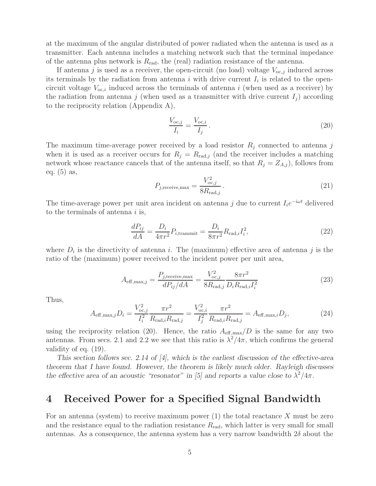at the maximum of the angular distributed of power radiated when the antenna is used as a transmitter. Each antenna includes a matching network such that the terminal impedance of the antenna plus network is  $R_{rad}$ , the (real) radiation resistance of the antenna.

If antenna j is used as a receiver, the open-circuit (no load) voltage  $V_{oc,j}$  induced across its terminals by the radiation from antenna i with drive current  $I_i$  is related to the opencircuit voltage  $V_{oc,i}$  induced across the terminals of antenna i (when used as a receiver) by the radiation from antenna j (when used as a transmitter with drive current  $I_j$ ) according to the reciprocity relation (Appendix A),

$$
\frac{V_{oc,j}}{I_i} = \frac{V_{oc,i}}{I_j} \,. \tag{20}
$$

The maximum time-average power received by a load resistor  $R_j$  connected to antenna j when it is used as a receiver occurs for  $R_j = R_{\text{rad},j}$  (and the receiver includes a matching network whose reactance cancels that of the antenna itself, so that  $R_j = Z_{A,j}$ , follows from eq. (5) as,

$$
P_{j,\text{receive,max}} = \frac{V_{oc,j}^2}{8R_{\text{rad},j}}\,. \tag{21}
$$

The time-average power per unit area incident on antenna j due to current  $I_i e^{-i\omega t}$  delivered to the terminals of antenna  $i$  is,

$$
\frac{dP_{ij}}{dA} = \frac{D_i}{4\pi r^2} P_{i,\text{transmit}} = \frac{D_i}{8\pi r^2} R_{\text{rad},i} I_i^2,\tag{22}
$$

where  $D_i$  is the directivity of antenna i. The (maximum) effective area of antenna j is the ratio of the (maximum) power received to the incident power per unit area,

$$
A_{\text{eff,max},j} = \frac{P_{j,\text{receive,max}}}{dP_{ij}/dA} = \frac{V_{\text{oc},j}^2}{8R_{\text{rad},j}} \frac{8\pi r^2}{D_i R_{\text{rad},i} I_i^2}
$$
(23)

Thus,

$$
A_{\text{eff},\text{max},j}D_i = \frac{V_{\text{oc},j}^2}{I_i^2} \frac{\pi r^2}{R_{\text{rad},i}R_{\text{rad},j}} = \frac{V_{\text{oc},i}^2}{I_j^2} \frac{\pi r^2}{R_{\text{rad},i}R_{\text{rad},j}} = A_{\text{eff},\text{max},i}D_j,
$$
(24)

using the reciprocity relation (20). Hence, the ratio  $A_{\text{eff,max}}/D$  is the same for any two antennas. From secs. 2.1 and 2.2 we see that this ratio is  $\lambda^2/4\pi$ , which confirms the general validity of eq. (19).

*This section follows sec. 2.14 of [4], which is the earliest discussion of the effective-area theorem that I have found. However, the theorem is likely much older. Rayleigh discusses the effective area of an acoustic "resonator" in [5] and reports a value close to*  $\lambda^2/4\pi$ .

# **4 Received Power for a Specified Signal Bandwidth**

For an antenna (system) to receive maximum power  $(1)$  the total reactance X must be zero and the resistance equal to the radiation resistance  $R_{\text{rad}}$ , which latter is very small for small antennas. As a consequence, the antenna system has a very narrow bandwidth  $2\delta$  about the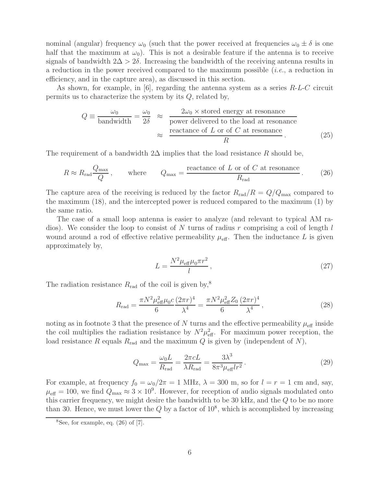nominal (angular) frequency  $\omega_0$  (such that the power received at frequencies  $\omega_0 \pm \delta$  is one half that the maximum at  $\omega_0$ ). This is not a desirable feature if the antenna is to receive signals of bandwidth  $2\Delta > 2\delta$ . Increasing the bandwidth of the receiving antenna results in a reduction in the power received compared to the maximum possible (*i.e.*, a reduction in efficiency, and in the capture area), as discussed in this section.

As shown, for example, in  $[6]$ , regarding the antenna system as a series  $R-L-C$  circuit permits us to characterize the system by its  $Q$ , related by,

$$
Q \equiv \frac{\omega_0}{\text{bandwidth}} = \frac{\omega_0}{2\delta} \approx \frac{2\omega_0 \times \text{stored energy at resonance}}{\text{power delivered to the load at resonance}}
$$

$$
\approx \frac{\text{reactance of } L \text{ or of } C \text{ at resonance}}{R} \tag{25}
$$

The requirement of a bandwidth  $2\Delta$  implies that the load resistance R should be,

$$
R \approx R_{\text{rad}} \frac{Q_{\text{max}}}{Q}
$$
, where  $Q_{\text{max}} = \frac{\text{reactance of } L \text{ or of } C \text{ at resonance}}{R_{\text{rad}}}$ . (26)

The capture area of the receiving is reduced by the factor  $R_{rad}/R = Q/Q_{max}$  compared to the maximum (18), and the intercepted power is reduced compared to the maximum (1) by the same ratio.

The case of a small loop antenna is easier to analyze (and relevant to typical AM radios). We consider the loop to consist of N turns of radius r comprising a coil of length  $l$ wound around a rod of effective relative permeability  $\mu_{\text{eff}}$ . Then the inductance L is given approximately by,

$$
L = \frac{N^2 \mu_{\text{eff}} \mu_0 \pi r^2}{l},\tag{27}
$$

The radiation resistance  $R_{\text{rad}}$  of the coil is given by,<sup>8</sup>

$$
R_{\rm rad} = \frac{\pi N^2 \mu_{\rm eff}^2 \mu_0 c}{6} \frac{(2\pi r)^4}{\lambda^4} = \frac{\pi N^2 \mu_{\rm eff}^2 Z_0}{6} \frac{(2\pi r)^4}{\lambda^4},\tag{28}
$$

noting as in footnote 3 that the presence of N turns and the effective permeability  $\mu_{\text{eff}}$  inside the coil multiplies the radiation resistance by  $N^2 \mu_{\text{eff}}^2$ . For maximum power reception, the load resistance R equals  $R_{rad}$  and the maximum Q is given by (independent of N),

$$
Q_{\text{max}} = \frac{\omega_0 L}{R_{\text{rad}}} = \frac{2\pi c}{\lambda R_{\text{rad}}} = \frac{3\lambda^3}{8\pi^3 \mu_{\text{eff}} l r^2}.
$$
 (29)

For example, at frequency  $f_0 = \omega_0/2\pi = 1$  MHz,  $\lambda = 300$  m, so for  $l = r = 1$  cm and, say,  $\mu_{\text{eff}} = 100$ , we find  $Q_{\text{max}} \approx 3 \times 10^9$ . However, for reception of audio signals modulated onto this carrier frequency, we might desire the bandwidth to be 30 kHz, and the Q to be no more than 30. Hence, we must lower the  $Q$  by a factor of  $10^8$ , which is accomplished by increasing

 ${}^{8}$ See, for example, eq. (26) of [7].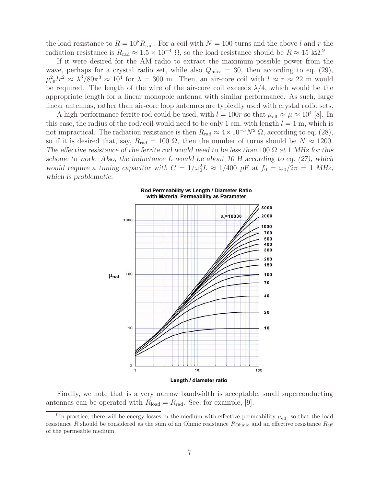the load resistance to  $R = 10^8 R_{rad}$ . For a coil with  $N = 100$  turns and the above l and r the radiation resistance is  $R_{\rm rad} \approx 1.5 \times 10^{-4} \Omega$ , so the load resistance should be  $R \approx 15 \text{ k}\Omega$ .<sup>9</sup>

If it were desired for the AM radio to extract the maximum possible power from the wave, perhaps for a crystal radio set, while also  $Q_{\text{max}} = 30$ , then according to eq. (29),  $\mu_{\text{eff}}^2 lr^2 \approx \lambda^3/80\pi^3 \approx 10^4$  for  $\lambda = 300$  m. Then, an air-core coil with  $l \approx r \approx 22$  m would be required. The length of the wire of the air-core coil exceeds  $\lambda/4$ , which would be the appropriate length for a linear monopole antenna with similar performance. As such, large linear antennas, rather than air-core loop antennas are typically used with crystal radio sets.

A high-performance ferrite rod could be used, with  $l = 100r$  so that  $\mu_{\text{eff}} \approx \mu \approx 10^4$  [8]. In this case, the radius of the rod/coil would need to be only 1 cm, with length  $l = 1$  m, which is not impractical. The radiation resistance is then  $R_{\rm rad} \approx 4 \times 10^{-5} N^2 \Omega$ , according to eq. (28), so if it is desired that, say,  $R_{rad} = 100 \Omega$ , then the number of turns should be  $N \approx 1200$ . *The effective resistance of the ferrite rod would need to be less than* 100 Ω *at* 1 *MHz for this scheme to work. Also, the inductance* L *would be about 10 H according to eq. (27), which would require a tuning capacitor with*  $C = 1/\omega_0^2 L \approx 1/400 \text{ pF}$  at  $f_0 = \omega_0/2\pi = 1 \text{ MHz}$ , *which is problematic.*



Rod Permeability vs Length / Diameter Ratio with Material Permeability as Parameter

Finally, we note that is a very narrow bandwidth is acceptable, small superconducting antennas can be operated with  $R_{load} = R_{rad}$ . See, for example, [9].

<sup>&</sup>lt;sup>9</sup>In practice, there will be energy losses in the medium with effective permeability  $\mu_{\text{eff}}$ , so that the load resistance R should be considered as the sum of an Ohmic resistance  $R_{\text{Ohmic}}$  and an effective resistance  $R_{\text{eff}}$ of the permeable medium.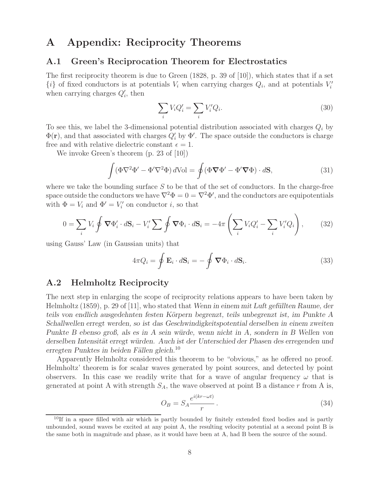# **A Appendix: Reciprocity Theorems**

#### **A.1 Green's Reciprocation Theorem for Electrostatics**

The first reciprocity theorem is due to Green (1828, p. 39 of [10]), which states that if a set  $\{i\}$  of fixed conductors is at potentials  $V_i$  when carrying charges  $Q_i$ , and at potentials  $V'_i$ when carrying charges  $Q_i'$ , then

$$
\sum_{i} V_i Q_i' = \sum_{i} V_i' Q_i.
$$
\n(30)

To see this, we label the 3-dimensional potential distribution associated with charges  $Q_i$  by  $\Phi(\mathbf{r})$ , and that associated with charges  $Q_i'$  by  $\Phi'$ . The space outside the conductors is charge free and with relative dielectric constant  $\epsilon = 1$ .

We invoke Green's theorem (p. 23 of [10])

$$
\int (\Phi \nabla^2 \Phi' - \Phi' \nabla^2 \Phi) dVol = \oint (\Phi \nabla \Phi' - \Phi' \nabla \Phi) \cdot d\mathbf{S},
$$
\n(31)

where we take the bounding surface  $S$  to be that of the set of conductors. In the charge-free space outside the conductors we have  $\nabla^2 \Phi = 0 = \nabla^2 \Phi'$ , and the conductors are equipotentials with  $\Phi = V_i$  and  $\Phi' = V'_i$  on conductor *i*, so that

$$
0 = \sum_{i} V_i \oint \nabla \Phi'_i \cdot d\mathbf{S}_i - V'_i \sum \oint \nabla \Phi_i \cdot d\mathbf{S}_i = -4\pi \left( \sum_{i} V_i Q'_i - \sum_{i} V'_i Q_i \right), \tag{32}
$$

using Gauss' Law (in Gaussian units) that

$$
4\pi Q_i = \oint \mathbf{E}_i \cdot d\mathbf{S}_i = -\oint \mathbf{\nabla} \Phi_i \cdot d\mathbf{S}_i.
$$
 (33)

### **A.2 Helmholtz Reciprocity**

The next step in enlarging the scope of reciprocity relations appears to have been taken by Helmholtz (1859), p. 29 of [11], who stated that *Wenn in einem mit Luft gefüllten Raume, der teils von endlich ausgedehnten festen K¨orpern begrenzt, teils unbegrenzt ist, im Punkte A Schallwellen erregt werden, so ist das Geschwindigkeitspotential derselben in einem zweiten Punkte B ebenso groß, als es in A sein w¨urde, wenn nicht in A, sondern in B Wellen von* derselben Intensität erregt würden. Auch ist der Unterschied der Phasen des erregenden und *erregten Punktes in beiden F¨allen gleich.*<sup>10</sup>

Apparently Helmholtz considered this theorem to be "obvious," as he offered no proof. Helmholtz' theorem is for scalar waves generated by point sources, and detected by point observers. In this case we readily write that for a wave of angular frequency  $\omega$  that is generated at point A with strength  $S_A$ , the wave observed at point B a distance r from A is,

$$
O_B = S_A \frac{e^{i(kr - \omega t)}}{r}.
$$
\n(34)

 $10$ If in a space filled with air which is partly bounded by finitely extended fixed bodies and is partly unbounded, sound waves be excited at any point A, the resulting velocity potential at a second point B is the same both in magnitude and phase, as it would have been at A, had B been the source of the sound.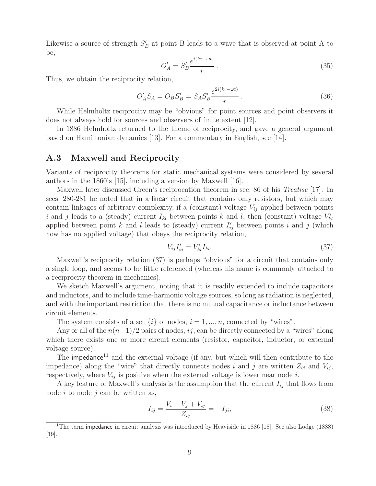Likewise a source of strength  $S'_B$  at point B leads to a wave that is observed at point A to be,

$$
O'_A = S'_B \frac{e^{i(kr - \omega t)}}{r}.
$$
\n(35)

Thus, we obtain the reciprocity relation,

$$
O'_A S_A = O_B S'_B = S_A S'_B \frac{e^{2i(kr - \omega t)}}{r}.
$$
\n(36)

While Helmholtz reciprocity may be "obvious" for point sources and point observers it does not always hold for sources and observers of finite extent [12].

In 1886 Helmholtz returned to the theme of reciprocity, and gave a general argument based on Hamiltonian dynamics [13]. For a commentary in English, see [14].

### **A.3 Maxwell and Reciprocity**

Variants of reciprocity theorems for static mechanical systems were considered by several authors in the 1860's [15], including a version by Maxwell [16].

Maxwell later discussed Green's reciprocation theorem in sec. 86 of his *Treatise* [17]. In secs. 280-281 he noted that in a linear circuit that contains only resistors, but which may contain linkages of arbitrary complexity, if a (constant) voltage  $V_{ij}$  applied between points i and j leads to a (steady) current  $I_{kl}$  between points k and l, then (constant) voltage  $V'_{kl}$ applied between point k and l leads to (steady) current  $I'_{ij}$  between points i and j (which now has no applied voltage) that obeys the reciprocity relation,

$$
V_{ij}I'_{ij} = V'_{kl}I_{kl}.\tag{37}
$$

Maxwell's reciprocity relation (37) is perhaps "obvious" for a circuit that contains only a single loop, and seems to be little referenced (whereas his name is commonly attached to a reciprocity theorem in mechanics).

We sketch Maxwell's argument, noting that it is readily extended to include capacitors and inductors, and to include time-harmonic voltage sources, so long as radiation is neglected, and with the important restriction that there is no mutual capacitance or inductance between circuit elements.

The system consists of a set  $\{i\}$  of nodes,  $i = 1, ..., n$ , connected by "wires".

Any or all of the  $n(n-1)/2$  pairs of nodes, ij, can be directly connected by a "wires" along which there exists one or more circuit elements (resistor, capacitor, inductor, or external voltage source).

The impedance<sup>11</sup> and the external voltage (if any, but which will then contribute to the impedance) along the "wire" that directly connects nodes i and j are written  $Z_{ij}$  and  $V_{ij}$ , respectively, where  $V_{ij}$  is positive when the external voltage is lower near node i.

A key feature of Maxwell's analysis is the assumption that the current  $I_{ij}$  that flows from node  $i$  to node  $j$  can be written as,

$$
I_{ij} = \frac{V_i - V_j + V_{ij}}{Z_{ij}} = -I_{ji},
$$
\n(38)

 $11$ The term impedance in circuit analysis was introduced by Heaviside in 1886 [18]. See also Lodge (1888) [19].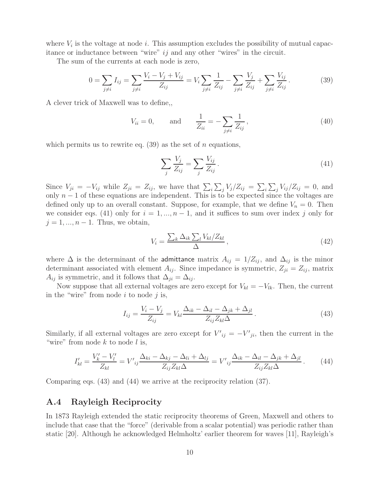where  $V_i$  is the voltage at node i. This assumption excludes the possibility of mutual capacitance or inductance between "wire"  $ij$  and any other "wires" in the circuit.

The sum of the currents at each node is zero,

$$
0 = \sum_{j \neq i} I_{ij} = \sum_{j \neq i} \frac{V_i - V_j + V_{ij}}{Z_{ij}} = V_i \sum_{j \neq i} \frac{1}{Z_{ij}} - \sum_{j \neq i} \frac{V_j}{Z_{ij}} + \sum_{j \neq i} \frac{V_{ij}}{Z_{ij}}.
$$
(39)

A clever trick of Maxwell was to define,,

$$
V_{ii} = 0,
$$
 and  $\frac{1}{Z_{ii}} = -\sum_{j \neq i} \frac{1}{Z_{ij}},$  (40)

which permits us to rewrite eq.  $(39)$  as the set of *n* equations,

$$
\sum_{j} \frac{V_j}{Z_{ij}} = \sum_{j} \frac{V_{ij}}{Z_{ij}}.
$$
\n(41)

Since  $V_{ji} = -V_{ij}$  while  $Z_{ji} = Z_{ij}$ , we have that  $\sum_i \sum_j V_j / Z_{ij} = \sum_i \sum_j V_{ij} / Z_{ij} = 0$ , and only  $n-1$  of these equations are independent. This is to be expected since the voltages are defined only up to an overall constant. Suppose, for example, that we define  $V_n = 0$ . Then we consider eqs. (41) only for  $i = 1, ..., n - 1$ , and it suffices to sum over index j only for  $j = 1, ..., n - 1$ . Thus, we obtain,

$$
V_i = \frac{\sum_k \Delta_{ik} \sum_l V_{kl} / Z_{kl}}{\Delta},\tag{42}
$$

where  $\Delta$  is the determinant of the admittance matrix  $A_{ij} = 1/Z_{ij}$ , and  $\Delta_{ij}$  is the minor determinant associated with element  $A_{ij}$ . Since impedance is symmetric,  $Z_{ji} = Z_{ij}$ , matrix  $A_{ij}$  is symmetric, and it follows that  $\Delta_{ji} = \Delta_{ij}$ .

Now suppose that all external voltages are zero except for  $V_{kl} = -V_{lk}$ . Then, the current in the "wire" from node  $i$  to node  $j$  is,

$$
I_{ij} = \frac{V_i - V_j}{Z_{ij}} = V_{kl} \frac{\Delta_{ik} - \Delta_{il} - \Delta_{jk} + \Delta_{jl}}{Z_{ij} Z_{kl} \Delta}.
$$
\n(43)

Similarly, if all external voltages are zero except for  $V'_{ij} = -V'_{ji}$ , then the current in the "wire" from node  $k$  to node  $l$  is,

$$
I'_{kl} = \frac{V'_{k} - V'_{l}}{Z_{kl}} = V'_{ij} \frac{\Delta_{ki} - \Delta_{kj} - \Delta_{li} + \Delta_{lj}}{Z_{ij} Z_{kl} \Delta} = V'_{ij} \frac{\Delta_{ik} - \Delta_{il} - \Delta_{jk} + \Delta_{jl}}{Z_{ij} Z_{kl} \Delta}.
$$
 (44)

Comparing eqs. (43) and (44) we arrive at the reciprocity relation (37).

### **A.4 Rayleigh Reciprocity**

In 1873 Rayleigh extended the static reciprocity theorems of Green, Maxwell and others to include that case that the "force" (derivable from a scalar potential) was periodic rather than static [20]. Although he acknowledged Helmholtz' earlier theorem for waves [11], Rayleigh's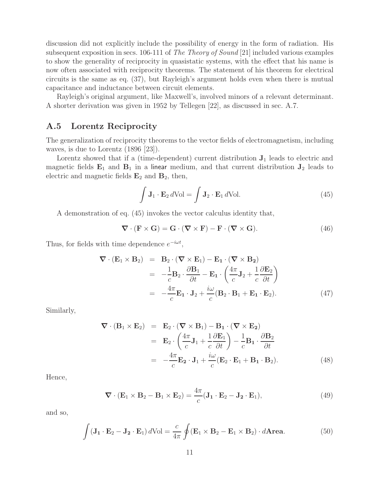discussion did not explicitly include the possibility of energy in the form of radiation. His subsequent exposition in secs. 106-111 of *The Theory of Sound* [21] included various examples to show the generality of reciprocity in quasistatic systems, with the effect that his name is now often associated with reciprocity theorems. The statement of his theorem for electrical circuits is the same as eq. (37), but Rayleigh's argument holds even when there is mutual capacitance and inductance between circuit elements.

Rayleigh's original argument, like Maxwell's, involved minors of a relevant determinant. A shorter derivation was given in 1952 by Tellegen [22], as discussed in sec. A.7.

### **A.5 Lorentz Reciprocity**

The generalization of reciprocity theorems to the vector fields of electromagnetism, including waves, is due to Lorentz (1896 [23]).

Lorentz showed that if a (time-dependent) current distribution **J**<sup>1</sup> leads to electric and magnetic fields  $\mathbf{E}_1$  and  $\mathbf{B}_1$  in a linear medium, and that current distribution  $\mathbf{J}_2$  leads to electric and magnetic fields  $\mathbf{E}_2$  and  $\mathbf{B}_2$ , then,

$$
\int \mathbf{J}_1 \cdot \mathbf{E}_2 d\text{Vol} = \int \mathbf{J}_2 \cdot \mathbf{E}_1 d\text{Vol}.
$$
 (45)

A demonstration of eq. (45) invokes the vector calculus identity that,

$$
\nabla \cdot (\mathbf{F} \times \mathbf{G}) = \mathbf{G} \cdot (\nabla \times \mathbf{F}) - \mathbf{F} \cdot (\nabla \times \mathbf{G}). \tag{46}
$$

Thus, for fields with time dependence  $e^{-i\omega t}$ ,

$$
\nabla \cdot (\mathbf{E}_1 \times \mathbf{B}_2) = \mathbf{B}_2 \cdot (\nabla \times \mathbf{E}_1) - \mathbf{E}_1 \cdot (\nabla \times \mathbf{B}_2)
$$
  
\n
$$
= -\frac{1}{c} \mathbf{B}_2 \cdot \frac{\partial \mathbf{B}_1}{\partial t} - \mathbf{E}_1 \cdot \left(\frac{4\pi}{c} \mathbf{J}_2 + \frac{1}{c} \frac{\partial \mathbf{E}_2}{\partial t}\right)
$$
  
\n
$$
= -\frac{4\pi}{c} \mathbf{E}_1 \cdot \mathbf{J}_2 + \frac{i\omega}{c} (\mathbf{B}_2 \cdot \mathbf{B}_1 + \mathbf{E}_1 \cdot \mathbf{E}_2).
$$
 (47)

Similarly,

$$
\nabla \cdot (\mathbf{B}_1 \times \mathbf{E}_2) = \mathbf{E}_2 \cdot (\nabla \times \mathbf{B}_1) - \mathbf{B}_1 \cdot (\nabla \times \mathbf{E}_2)
$$
  
\n
$$
= \mathbf{E}_2 \cdot \left(\frac{4\pi}{c} \mathbf{J}_1 + \frac{1}{c} \frac{\partial \mathbf{E}_1}{\partial t}\right) - \frac{1}{c} \mathbf{B}_1 \cdot \frac{\partial \mathbf{B}_2}{\partial t}
$$
  
\n
$$
= -\frac{4\pi}{c} \mathbf{E}_2 \cdot \mathbf{J}_1 + \frac{i\omega}{c} (\mathbf{E}_2 \cdot \mathbf{E}_1 + \mathbf{B}_1 \cdot \mathbf{B}_2).
$$
 (48)

Hence,

$$
\nabla \cdot (\mathbf{E}_1 \times \mathbf{B}_2 - \mathbf{B}_1 \times \mathbf{E}_2) = \frac{4\pi}{c} (\mathbf{J}_1 \cdot \mathbf{E}_2 - \mathbf{J}_2 \cdot \mathbf{E}_1),
$$
(49)

and so,

$$
\int (\mathbf{J}_1 \cdot \mathbf{E}_2 - \mathbf{J}_2 \cdot \mathbf{E}_1) d\text{Vol} = \frac{c}{4\pi} \oint (\mathbf{E}_1 \times \mathbf{B}_2 - \mathbf{E}_1 \times \mathbf{B}_2) \cdot d\mathbf{Area}.
$$
 (50)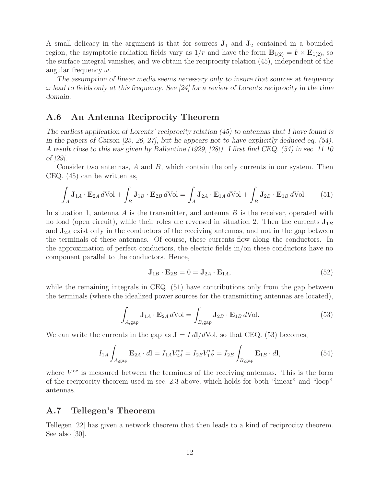A small delicacy in the argument is that for sources  $J_1$  and  $J_2$  contained in a bounded region, the asymptotic radiation fields vary as  $1/r$  and have the form  $\mathbf{B}_{1(2)} = \hat{\mathbf{r}} \times \mathbf{E}_{1(2)}$ , so the surface integral vanishes, and we obtain the reciprocity relation (45), independent of the angular frequency  $\omega$ .

*The assumption of linear media seems necessary only to insure that sources at frequency* ω *lead to fields only at this frequency. See [24] for a review of Lorentz reciprocity in the time domain.*

### **A.6 An Antenna Reciprocity Theorem**

*The earliest application of Lorentz' reciprocity relation (45) to antennas that I have found is in the papers of Carson [25, 26, 27], but he appears not to have explicitly deduced eq. (54). A result close to this was given by Ballantine (1929, [28]). I first find CEQ. (54) in sec. 11.10 of [29].*

Consider two antennas,  $A$  and  $B$ , which contain the only currents in our system. Then CEQ. (45) can be written as,

$$
\int_{A} \mathbf{J}_{1A} \cdot \mathbf{E}_{2A} d\text{Vol} + \int_{B} \mathbf{J}_{1B} \cdot \mathbf{E}_{2B} d\text{Vol} = \int_{A} \mathbf{J}_{2A} \cdot \mathbf{E}_{1A} d\text{Vol} + \int_{B} \mathbf{J}_{2B} \cdot \mathbf{E}_{1B} d\text{Vol}. \tag{51}
$$

In situation 1, antenna  $A$  is the transmitter, and antenna  $B$  is the receiver, operated with no load (open circuit), while their roles are reversed in situation 2. Then the currents  $\mathbf{J}_{1B}$ and  $J_{2A}$  exist only in the conductors of the receiving antennas, and not in the gap between the terminals of these antennas. Of course, these currents flow along the conductors. In the approximation of perfect conductors, the electric fields in/on these conductors have no component parallel to the conductors. Hence,

$$
\mathbf{J}_{1B} \cdot \mathbf{E}_{2B} = 0 = \mathbf{J}_{2A} \cdot \mathbf{E}_{1A},\tag{52}
$$

while the remaining integrals in CEQ. (51) have contributions only from the gap between the terminals (where the idealized power sources for the transmitting antennas are located),

$$
\int_{A,\text{gap}} \mathbf{J}_{1A} \cdot \mathbf{E}_{2A} d\text{Vol} = \int_{B,\text{gap}} \mathbf{J}_{2B} \cdot \mathbf{E}_{1B} d\text{Vol}.
$$
\n(53)

We can write the currents in the gap as  $J = I dI/dVol$ , so that CEQ. (53) becomes,

$$
I_{1A} \int_{A, \text{gap}} \mathbf{E}_{2A} \cdot d\mathbf{l} = I_{1A} V_{2A}^{\text{oc}} = I_{2B} V_{1B}^{\text{oc}} = I_{2B} \int_{B, \text{gap}} \mathbf{E}_{1B} \cdot d\mathbf{l}, \tag{54}
$$

where  $V^{oc}$  is measured between the terminals of the receiving antennas. This is the form of the reciprocity theorem used in sec. 2.3 above, which holds for both "linear" and "loop" antennas.

### **A.7 Tellegen's Theorem**

Tellegen [22] has given a network theorem that then leads to a kind of reciprocity theorem. See also [30].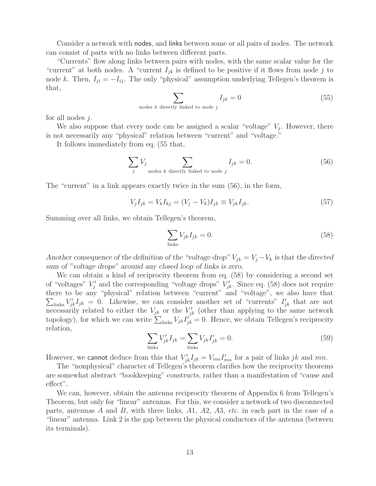Consider a network with nodes, and links between some or all pairs of nodes. The network can consist of parts with no links between different parts.

"Currents" flow along links between pairs with nodes, with the same scalar value for the "current" at both nodes. A "current  $I_{jk}$  is defined to be positive if it flows from node j to node k. Then,  $I_{ji} = -I_{ij}$ . The only "physical" assumption underlying Tellegen's theorem is that,

$$
\sum_{\text{nodes } k \text{ directly linked to node } j} I_{jk} = 0 \tag{55}
$$

for all nodes j.

We also suppose that every node can be assigned a scalar "voltage"  $V_i$ . However, there is not necessarily any "physical" relation between "current" and "voltage."

It follows immediately from eq. (55 that,

$$
\sum_{j} V_j \sum_{\text{nodes } k \text{ directly linked to node } j} I_{jk} = 0. \tag{56}
$$

The "current" in a link appears exactly twice in the sum (56), in the form,

$$
V_j I_{jk} = V_k I_{kj} = (V_j - V_k) I_{jk} \equiv V_{jk} I_{jk}.
$$
\n(57)

Summing over all links, we obtain Tellegen's theorem,

$$
\sum_{\text{links}} V_{jk} I_{jk} = 0. \tag{58}
$$

*Another consequence of the definition of the "voltage drop"*  $V_{jk} = V_j - V_k$  *is that the directed sum of "voltage drops" around any closed loop of links is zero.*

We can obtain a kind of reciprocity theorem from eq. (58) by considering a second set of "voltages"  $V'_j$  and the corresponding "voltage drops"  $V'_{jk}$ . Since eq. (58) does not require there to be any "physical" relation between "current" and "voltage", we also have that  $\sum_{\text{links}} V'_{jk} I_{jk} = 0$ . Likewise, we can consider another set of "currents"  $I'_{jk}$  that are not mecessarily related to either the  $V_{jk}$  or the  $V'_{jk}$  (other than applying to the same network topology), for which we can write  $\sum_{\text{links}} V_{jk} I_{jk}^{j} = 0$ . Hence, we obtain Tellegen's reciprocity relation,

$$
\sum_{\text{links}} V'_{jk} I_{jk} = \sum_{\text{links}} V_{jk} I'_{jk} = 0.
$$
\n(59)

However, we cannot deduce from this that  $V'_{jk}I_{jk} = V_{mn}I'_{mn}$  for a pair of links jk and mn.

The "nonphysical" character of Tellegen's theorem clarifies how the reciprocity theorems are somewhat abstract "bookkeeping" constructs, rather than a manifestation of "cause and effect".

We can, however, obtain the antenna reciprocity theorem of Appendix 6 from Tellegen's Theorem, but only for "linear" antennas. For this, we consider a network of two disconnected parts, antennas A and B, with three links, A1, A2, A3, *etc.* in each part in the case of a "linear" antenna. Link 2 is the gap between the physical conductors of the antenna (between its terminals).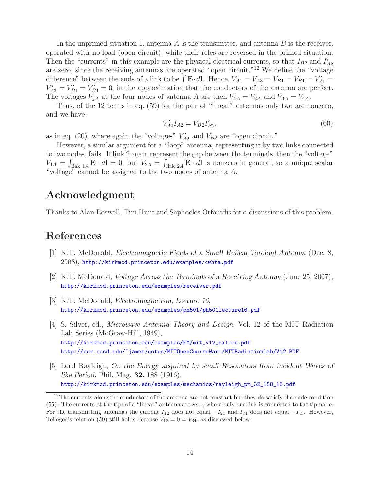In the unprimed situation 1, antenna  $A$  is the transmitter, and antenna  $B$  is the receiver, operated with no load (open circuit), while their roles are reversed in the primed situation. Then the "currents" in this example are the physical electrical currents, so that  $I_{B2}$  and  $I'_{A2}$ are zero, since the receiving antennas are operated "open circuit."<sup>12</sup> We define the "voltage difference" between the ends of a link to be  $\int \mathbf{E} \cdot d\mathbf{l}$ . Hence,  $V_{A1} = V_{A3} = V_{B1} = V_{B1} = V'_{A1} = V'_{B1}$  $V'_{A3} = V'_{B1} = V'_{B1} = 0$ , in the approximation that the conductors of the antenna are perfect. The voltages  $V_{jA}$  at the four nodes of antenna A are then  $V_{1A} = V_{2A}$  and  $V_{3A} = V_{4A}$ .

Thus, of the 12 terms in eq. (59) for the pair of "linear" antennas only two are nonzero, and we have,

$$
V'_{A2}I_{A2} = V_{B2}I'_{B2},\tag{60}
$$

as in eq. (20), where again the "voltages"  $V'_{A2}$  and  $V_{B2}$  are "open circuit."

However, a similar argument for a "loop" antenna, representing it by two links connected to two nodes, fails. If link 2 again represent the gap between the terminals, then the "voltage"  $V_{1A} = \int_{\text{link }1A} \mathbf{E} \cdot d\mathbf{l} = 0$ , but  $V_{2A} = \int_{\text{link }2A} \mathbf{E} \cdot d\mathbf{l}$  is nonzero in general, so a unique scalar "voltage" cannot be assigned to the two nodes of antenna A.

## **Acknowledgment**

Thanks to Alan Boswell, Tim Hunt and Sophocles Orfanidis for e-discussions of this problem.

# **References**

- [1] K.T. McDonald, *Electromagnetic Fields of a Small Helical Toroidal Antenna* (Dec. 8, 2008), http://kirkmcd.princeton.edu/examples/cwhta.pdf
- [2] K.T. McDonald, *Voltage Across the Terminals of a Receiving Antenna* (June 25, 2007), http://kirkmcd.princeton.edu/examples/receiver.pdf
- [3] K.T. McDonald, *Electromagnetism, Lecture 16*, http://kirkmcd.princeton.edu/examples/ph501/ph501lecture16.pdf
- [4] S. Silver, ed., *Microwave Antenna Theory and Design*, Vol. 12 of the MIT Radiation Lab Series (McGraw-Hill, 1949), http://kirkmcd.princeton.edu/examples/EM/mit\_v12\_silver.pdf http://cer.ucsd.edu/~james/notes/MITOpenCourseWare/MITRadiationLab/V12.PDF
- [5] Lord Rayleigh, *On the Energy acquired by small Resonators from incident Waves of like Period*, Phil. Mag. **32**, 188 (1916), http://kirkmcd.princeton.edu/examples/mechanics/rayleigh\_pm\_32\_188\_16.pdf

<sup>&</sup>lt;sup>12</sup>The currents along the conductors of the antenna are not constant but they do satisfy the node condition (55). The currents at the tips of a "linear" antenna are zero, where only one link is connected to the tip node. For the transmitting antennas the current  $I_{12}$  does not equal  $-I_{21}$  and  $I_{34}$  does not equal  $-I_{43}$ . However, Tellegen's relation (59) still holds because  $V_{12} = 0 = V_{34}$ , as discussed below.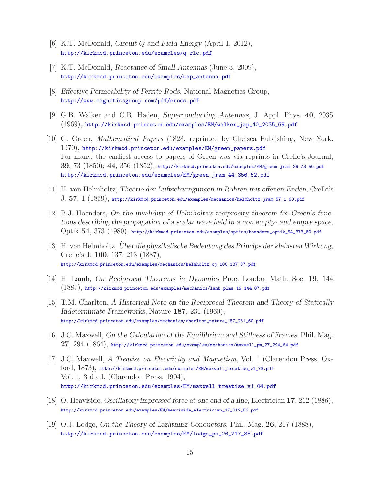- [6] K.T. McDonald, *Circuit* Q *and Field Energy* (April 1, 2012), http://kirkmcd.princeton.edu/examples/q\_rlc.pdf
- [7] K.T. McDonald, *Reactance of Small Antennas* (June 3, 2009), http://kirkmcd.princeton.edu/examples/cap\_antenna.pdf
- [8] *Effective Permeability of Ferrite Rods*, National Magnetics Group, http://www.magneticsgroup.com/pdf/erods.pdf
- [9] G.B. Walker and C.R. Haden, *Superconducting Antennas*, J. Appl. Phys. **40**, 2035 (1969), http://kirkmcd.princeton.edu/examples/EM/walker\_jap\_40\_2035\_69.pdf
- [10] G. Green, *Mathematical Papers* (1828, reprinted by Chelsea Publishing, New York, 1970), http://kirkmcd.princeton.edu/examples/EM/green\_papers.pdf For many, the earliest access to papers of Green was via reprints in Crelle's Journal, **39**, 73 (1850); **44**, 356 (1852), http://kirkmcd.princeton.edu/examples/EM/green\_jram\_39\_73\_50.pdf http://kirkmcd.princeton.edu/examples/EM/green\_jram\_44\_356\_52.pdf
- [11] H. von Helmholtz, *Theorie der Luftschwingungen in Rohren mit offenen Enden*, Crelle's J. **57**, 1 (1859), http://kirkmcd.princeton.edu/examples/mechanics/helmholtz\_jram\_57\_1\_60.pdf
- [12] B.J. Hoenders, *On the invalidity of Helmholtz's reciprocity theorem for Green's functions describing the propagation of a scalar wave field in a non empty- and empty space*, Optik **54**, 373 (1980), http://kirkmcd.princeton.edu/examples/optics/hoenders\_optik\_54\_373\_80.pdf
- [13] H. von Helmholtz, *Uber die physikalische Bedeutung des Princips der kleinsten Wirkung*, Crelle's J. **100**, 137, 213 (1887), http://kirkmcd.princeton.edu/examples/mechanics/helmholtz\_cj\_100\_137\_87.pdf
- [14] H. Lamb, *On Reciprocal Theorems in Dynamics* Proc. London Math. Soc. **19**, 144 (1887), http://kirkmcd.princeton.edu/examples/mechanics/lamb\_plms\_19\_144\_87.pdf
- [15] T.M. Charlton, *A Historical Note on the Reciprocal Theorem and Theory of Statically Indeterminate Frameworks*, Nature **187**, 231 (1960), http://kirkmcd.princeton.edu/examples/mechanics/charlton\_nature\_187\_231\_60.pdf
- [16] J.C. Maxwell, *On the Calculation of the Equilibrium and Stiffness of Frames*, Phil. Mag. **27**, 294 (1864), http://kirkmcd.princeton.edu/examples/mechanics/maxwell\_pm\_27\_294\_64.pdf
- [17] J.C. Maxwell, *A Treatise on Electricity and Magnetism*, Vol. 1 (Clarendon Press, Oxford, 1873), http://kirkmcd.princeton.edu/examples/EM/maxwell\_treatise\_v1\_73.pdf Vol. 1, 3rd ed. (Clarendon Press, 1904), http://kirkmcd.princeton.edu/examples/EM/maxwell\_treatise\_v1\_04.pdf
- [18] O. Heaviside, *Oscillatory impressed force at one end of a line*, Electrician **17**, 212 (1886), http://kirkmcd.princeton.edu/examples/EM/heaviside\_electrician\_17\_212\_86.pdf
- [19] O.J. Lodge, *On the Theory of Lightning-Conductors*, Phil. Mag. **26**, 217 (1888), http://kirkmcd.princeton.edu/examples/EM/lodge\_pm\_26\_217\_88.pdf